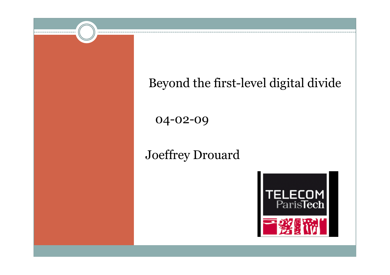### Beyond the first-level digital divide

04-02-09

#### Joeffrey Drouard

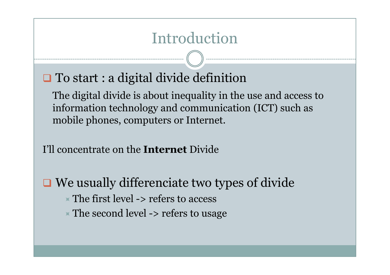To start : a digital divide definition

The digital divide is about inequality in the use and access to information technology and communication (ICT) such as mobile phones, computers or Internet.

I'll concentrate on the **Internet** Divide

 $\Box$  We usually differenciate two types of divide  $\overline{\phantom{a}}$  The first level -> refers to access  $\ast$  The second level -> refers to usage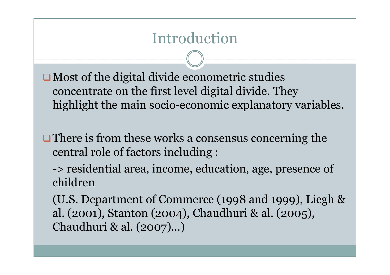$\Box$  Most of the digital divide econometric studies concentrate on the first level digital divide. Theyhighlight the main socio-economic explanatory variables.

**There is from these works a consensus concerning the** central role of factors including :

-> residential area, income, education, age, presence of children

(U.S. Department of Commerce (1998 and 1999), Liegh & al. (2001), Stanton (2004), Chaudhuri & al. (2005), Chaudhuri & al. (2007)…)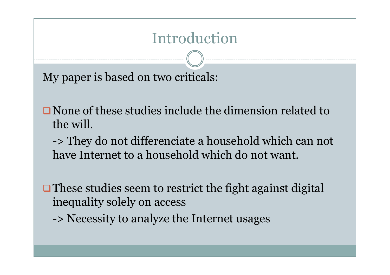My paper is based on two criticals:

None of these studies include the dimension related to

the will. -> They do not differenciate a household which can not have Internet to a household which do not want.

 $\Box$  These studies seem to restrict the fight against digital inequality solely on access

-> Necessity to analyze the Internet usages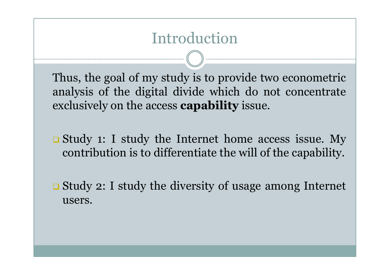Thus, the goa<sup>l</sup> of my study is to provide two econometric analysis of the digital divide which do not concentrate exclusively on the access **capability** issue.

Study 1: I study the Internet home access issue. My contribution is to differentiate the will of the capability.

Study 2: I study the diversity of usage among Internet users.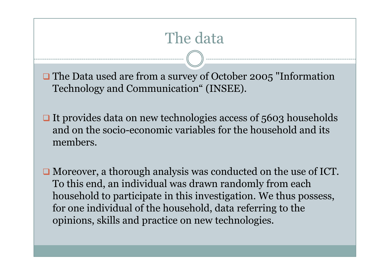# The data

The Data used are from a survey of October 2005 "Information"<br>
Technology on d Octomorrisation " (INGEE) Technology and Communication" (INSEE).

- $\Box$  It provides data on new technologies access of 5603 households and on the socio-economic variables for the household and its members.
- Moreover, a thorough analysis was conducted on the use of ICT. To this end, an individual was drawn randomly from each household to participate in this investigation. We thus possess, for one individual of the household, data referring to the opinions, skills and practice on new technologies.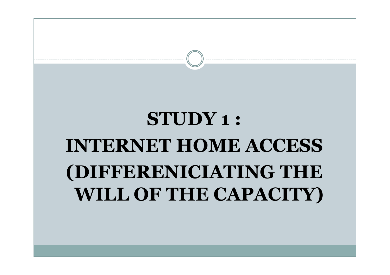# STUDY 1 : INTERNET HOME ACCESS(DIFFERENICIATING THE WILL OF THE CAPACITY)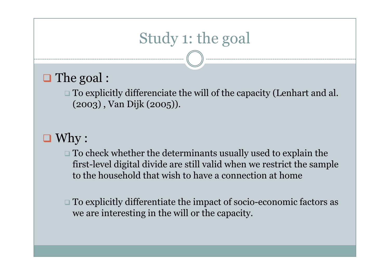# Study 1: the goal

# $\Box$  The goal :

 $\square$  To explicitly differenciate the will of the capacity (Lenhart and al. (2003) , Van Dijk (2005)).

# $\Box$  Why :

 $\square$  To check whether the determinants usually used to explain the  $\zeta$ first-level digital divide are still valid when we restrict the sample to the household that wish to have a connection at home

 $\square$  To explicitly differentiate the impact of socio-economic factors as we are interesting in the will or the capacity.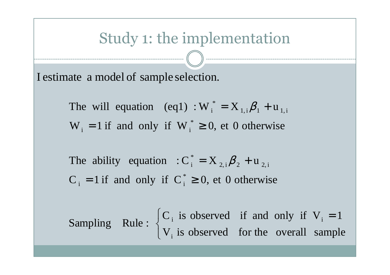### Study 1: the implementation

I estimate a model of sample selection.

 $W_i = 1$  if and only if  $W_i^* \ge 0$ , et 0 otherwise The will equation (eq1) :  $W_i^* = X_{1,i} \beta_1 + u_{1,i}$  $i = 1$  if and  $\sigma$ illy if  $v_{i}$ \* $\mathop{\vphantom{\rule{0pt}{0.5pt}}_{i}}\nolimits^* = \mathop{\hbox{\bf X}}\nolimits_{1,\mathop{\vphantom{\rule{0pt}{0.5pt}}_{i}}\nolimits}\boldsymbol{\beta}_j$ 

 $C_i = 1$  if and only if  $C_i^* \ge 0$ , et 0 otherwise The ability equation :  $C_i^* = X_{2,i} \beta_2 + u_{2,i}$  $i$  - in and only if  $C_i$ \* $\hat{\mathbf{X}}_{_{2,\mathbf{i}}\mathbf{\beta}_{_{\mathbf{1}}}$ 

 $\overline{\mathcal{C}}$  $\left\{ \right\}$  $\int$ = $V_i$  is observed for the overall sample  $C_i$  is observed if and only if V 1Sampling Rule:  $\left\{\begin{array}{ccc} 1 & \cdots & \cdots & \cdots \\ V & \vdots & \vdots & \vdots \\ V & \cdots & \vdots & \vdots \end{array}\right.$ i $i$  is observed in and only in  $v_i$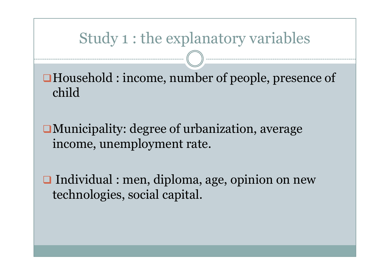### Study 1 : the explanatory variables

Household : income, number of people, presence of child

Municipality: degree of urbanization, average income, unemployment rate.

**□** Individual : men, diploma, age, opinion on new technologies, social capital.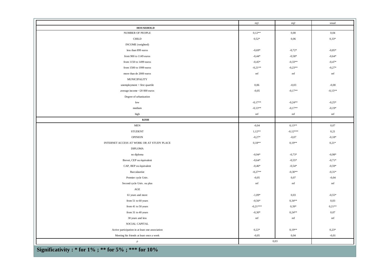|                                                  | eq1        | eq2        | usual     |
|--------------------------------------------------|------------|------------|-----------|
| <b>HOUSEHOLD</b>                                 |            |            |           |
| NUMBER OF PEOPLE                                 | $0,12**$   | 0,00       | 0,04      |
| $\rm CHILD$                                      | $0,52*$    | 0,06       | $0,33*$   |
| INCOME (weighted)                                |            |            |           |
| less than 899 euros                              | $-0,69*$   | $-0,72*$   | $-0.85*$  |
| from 900 to 1149 euros                           | $-0,44*$   | $-0.58*$   | $-0,64*$  |
| from 1150 to 1499 euros                          | $-0.45*$   | $-0,33**$  | $-0,47*$  |
| from 1500 to 1999 euros                          | $-0,21**$  | $-0,23**$  | $-0,27*$  |
| more than de 2000 euros                          | ref        | ref        | ref       |
| <b>MUNICIPALITY</b>                              |            |            |           |
| unemployment > first quartile                    | 0,06       | $-0,03$    | $-0,00$   |
| average income $<$ 20 000 euros                  | $-0,05$    | $-0.17**$  | $-0,15**$ |
| Degree of urbanization                           |            |            |           |
| low                                              | $-0,17**$  | $-0,24**$  | $-0,25*$  |
| medium                                           | $-0.13**$  | $-0.17**$  | $-0,19*$  |
| high                                             | ref        | ref        | ref       |
| <b>KISH</b>                                      |            |            |           |
| <b>MEN</b>                                       | $-0,04$    | $0,13**$   | 0,07      |
| <b>STUDENT</b>                                   | $1,12**$   | $-0.12***$ | 0,21      |
| <b>OPINION</b>                                   | $-0,27*$   | $-0,07$    | $-0.18*$  |
| INTERNET ACCESS AT WORK OR AT STUDY PLACE        | $0,18**$   | $0.19**$   | $0,21*$   |
| <b>DIPLOMA</b>                                   |            |            |           |
| no diploma                                       | $-0,94*$   | $-0,73*$   | $-0,98*$  |
| Brevet, CEP ou équivalent                        | $-0.64*$   | $-0,55*$   | $-0.71*$  |
| CAP, BEP ou équivalent                           | $-0,46*$   | $-0,54*$   | $-0,59*$  |
| Baccalauréat                                     | $-0,27**$  | $-0,30**$  | $-0,31*$  |
| Premier cycle Univ.                              | $-0,05$    | 0,07       | $-0,04$   |
| Second cycle Univ. ou plus                       | ref        | ref        | ref       |
| $\rm{AGE}$                                       |            |            |           |
| 61 years and more                                | $-1,09*$   | 0,03       | $-0,55*$  |
| from 51 to 60 years                              | $-0,56*$   | $0,34***$  | 0,03      |
| from 41 to 50 years                              | $-0,21***$ | $0,39*$    | $0,21**$  |
| from 31 to 40 years                              | $-0,30*$   | $0,24**$   | 0,07      |
| 30 years and less                                | ref        | ref        | ref       |
| SOCIAL CAPITAL                                   |            |            |           |
| Active participation in at least one association | $0,22*$    | $0,19**$   | $0,23*$   |
| Meeting his friends at least once a week         | $-0,05$    | 0,04       | $-0,01$   |
| $\rho$                                           |            | 0,03       |           |

Significativity : \* for 1% ; \*\* for 5% ; \*\*\* for 10%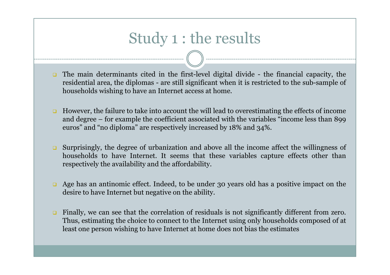## Study 1 : the results

- The main determinants cited in the first-level digital divide the financial capacity, the<br>residential area, the diplomas are still significant when it is restricted to the sub-sample of residential area, the diplomas - are still significant when it is restricted to the sub-sample of households wishing to have an Internet access at home.
- $\Box$  However, the failure to take into account the will lead to overestimating the effects of income and degree – for example the coefficient associated with the variables "income less than <sup>899</sup> euros" and "no diploma" are respectively increased by 18% and 34%.
- $\Box$  Surprisingly, the degree of urbanization and above all the income affect the willingness of households to have Internet. It seems that these variables capture effects other than respectively the availability and the affordability.
- $\Box$  Age has an antinomic effect. Indeed, to be under <sup>30</sup> years old has <sup>a</sup> positive impact on the desire to have Internet but negative on the ability.
- $\Box$  Finally, we can see that the correlation of residuals is not significantly different from zero. Thus, estimating the choice to connect to the Internet using only households composed of at least one person wishing to have Internet at home does not bias the estimates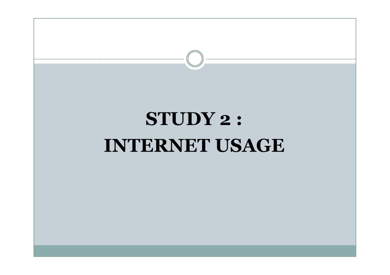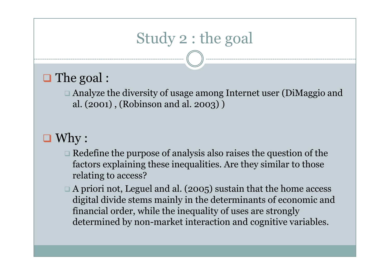# Study 2 : the goal

# □ The goal :

□ Analyze the diversity of usage among Internet user (DiMaggio and al. (2001) , (Robinson and al. 2003) )

# $\Box$  Why :

- $\square$  Redefine the purpose of analysis also raises the question of the factors explaining these inequalities. Are they similar to those relating to access?
- $\Box$  A priori not, Leguel and al. (2005) sustain that the home access digital divide stems mainly in the determinants of economic and financial order, while the inequality of uses are strongly determined by non-market interaction and cognitive variables.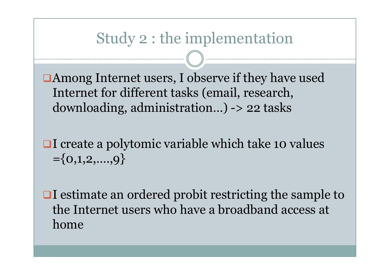#### Study 2 : the implementation

Among Internet users, I observe if they have used Internet for different tasks (email, research, downloading, administration…) -> 22 tasks

- **□I** create a polytomic variable which take 10 values  $=\{0,1,2,\ldots,9\}$
- $\Box$ I estimate an ordered probit restricting the sample to the Internet users who have a broadband access at home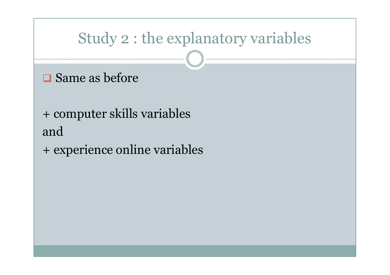# Study 2 : the explanatory variables

- **□** Same as before
- + computer skills variablesand
- + experience online variables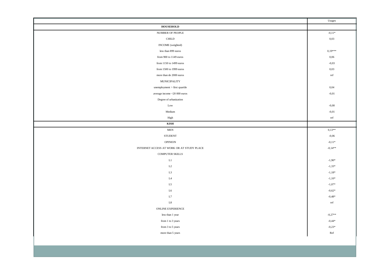|                                                                 | Usages    |  |  |  |  |
|-----------------------------------------------------------------|-----------|--|--|--|--|
| <b>HOUSEHOLD</b>                                                |           |  |  |  |  |
| NUMBER OF PEOPLE                                                | $-0.11*$  |  |  |  |  |
| $\text{CHILD}$                                                  | 0,03      |  |  |  |  |
| INCOME (weighted)                                               |           |  |  |  |  |
| less than 899 euros                                             | $0,19***$ |  |  |  |  |
| from 900 to 1149 euros                                          | 0,06      |  |  |  |  |
| from 1150 to 1499 euros                                         | $-0,03$   |  |  |  |  |
| from 1500 to 1999 euros                                         | 0,03      |  |  |  |  |
| more than de 2000 euros                                         | ref       |  |  |  |  |
| <b>MUNICIPALITY</b>                                             |           |  |  |  |  |
| $\label{eq:unempty} \text{unemptyment} > \text{first quartile}$ | 0,04      |  |  |  |  |
| average income $<\!\!20\,000$ euros                             | $-0,01$   |  |  |  |  |
| Degree of urbanization                                          |           |  |  |  |  |
| $_{\text{Low}}$                                                 | $-0,00$   |  |  |  |  |
| Medium                                                          | $-0,01$   |  |  |  |  |
| High                                                            | ref       |  |  |  |  |
| $\mathbf{KISH}$                                                 |           |  |  |  |  |
| $\operatorname{\mathsf{MEN}}$                                   | $0,13**$  |  |  |  |  |
| <b>STUDENT</b>                                                  | $-0,06$   |  |  |  |  |
| OPINION                                                         | $-0,11*$  |  |  |  |  |
| INTERNET ACCESS AT WORK OR AT STUDY PLACE                       |           |  |  |  |  |
| <b>COMPUTER SKILLS</b>                                          |           |  |  |  |  |
| L1                                                              | $-1,90*$  |  |  |  |  |
| $\rm L2$                                                        | $-1,33*$  |  |  |  |  |
| L <sub>3</sub>                                                  | $-1,18*$  |  |  |  |  |
| $\rm L4$                                                        | $-1,10*$  |  |  |  |  |
| $\rm L5$                                                        | $-1,07*$  |  |  |  |  |
| ${\rm L6}$                                                      | $-0,62*$  |  |  |  |  |
| $\;$ L7                                                         | $-0,48*$  |  |  |  |  |
| $^{\rm L8}$                                                     | ref       |  |  |  |  |
| ONLINE EXPERIENCE                                               |           |  |  |  |  |
| less than 1 year                                                | $-0,27**$ |  |  |  |  |
| from 1 to 3 years                                               | $-0,44*$  |  |  |  |  |
| from 3 to 5 years                                               | $-0,23*$  |  |  |  |  |
| more than 5 years                                               | Ref       |  |  |  |  |
|                                                                 |           |  |  |  |  |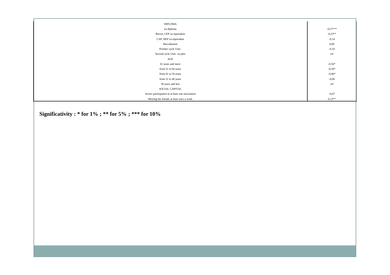| DIPLOMA                                          |            |
|--------------------------------------------------|------------|
| no diploma                                       | $-0,27***$ |
| Brevet, CEP ou équivalent                        | $-0,23**$  |
| CAP, BEP ou équivalent                           | $-0,14$    |
| Baccalauréat                                     | 0,00       |
| Premier cycle Univ.                              | $-0,10$    |
| Second cycle Univ. ou plus                       | ref        |
| AGE                                              |            |
| 61 years and more                                | $-0,56*$   |
| from 51 to 60 years                              | $-0,50*$   |
| from 41 to 50 years                              | $-0,40*$   |
| from 31 to 40 years                              | $-0,06$    |
| 30 years and less                                | ref        |
| SOCIAL CAPITAL                                   |            |
| Active participation in at least one association | $-0,07$    |
| Meeting his friends at least once a week         | $0,13**$   |

Significativity : \* for 1% ; \*\* for 5% ; \*\*\* for 10%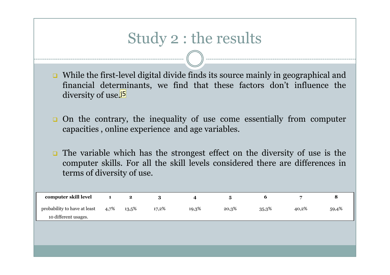## Study 2 : the results

- While the first-level digital divide finds its source mainly in geographical and<br>financial determinants, we find that these factors don't influence the financial determinants, we find that these factors don't influence the diversity of use.<mark>j5</mark>
- **On the contrary, the inequality of use come essentially from computer** canacities online experience and age variables capacities , online experience and age variables.
- $\Box$  The variable which has the strongest effect on the diversity of use is the computer skills. For all the skill levels considered there are differences in terms of diversity of use.

| computer skill level                                 |      | 2     |       |       |       |       |       |       |
|------------------------------------------------------|------|-------|-------|-------|-------|-------|-------|-------|
| probability to have at least<br>10 different usages. | 4,7% | 13,5% | 17,2% | 19,3% | 20,3% | 35,3% | 40,2% | 59,4% |